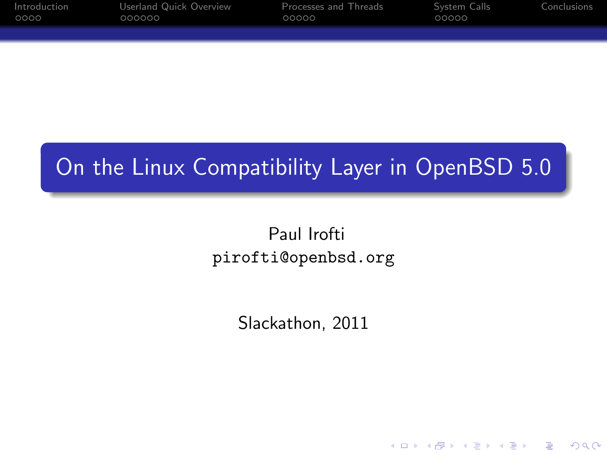| Introduction | Userland Quick Overview | Processes and Threads | System Calls | Conclusions |
|--------------|-------------------------|-----------------------|--------------|-------------|
| 0000         | 000000                  | 00000                 | 00000        |             |
|              |                         |                       |              |             |

# On the Linux Compatibility Layer in OpenBSD 5.0

## Paul Irofti pirofti@openbsd.org

Slackathon, 2011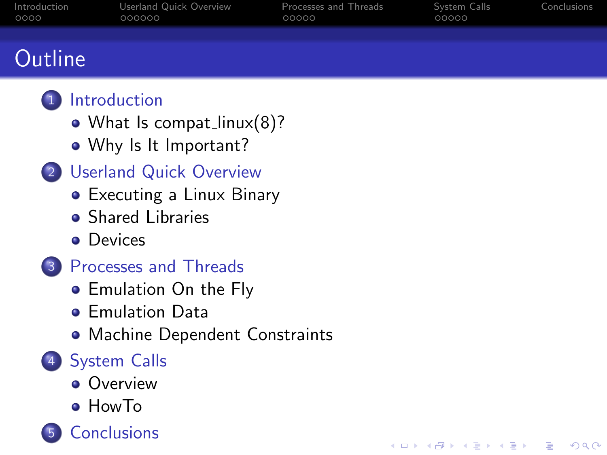| Introduction<br>0000 | Userland Quick Overview<br>000000 | Processes and Threads<br>00000 | System Calls<br>00000 | Conclusions |
|----------------------|-----------------------------------|--------------------------------|-----------------------|-------------|
|                      |                                   |                                |                       |             |
|                      |                                   |                                |                       |             |
| <b>Outline</b>       |                                   |                                |                       |             |

K ロ ▶ K @ ▶ K 할 ▶ K 할 ▶ 이 할 → 9 Q @



## • [What Is compat](#page-2-0)\_linux(8)?

- [Why Is It Important?](#page-4-0)
- 2 [Userland Quick Overview](#page-6-0)
	- [Executing a Linux Binary](#page-6-0)
	- [Shared Libraries](#page-9-0)
	- **o** [Devices](#page-11-0)
- 3 [Processes and Threads](#page-12-0)
	- **[Emulation On the Fly](#page-12-0)**
	- **[Emulation Data](#page-13-0)**
	- [Machine Dependent Constraints](#page-16-0)

## 4 [System Calls](#page-17-0)

- **•** [Overview](#page-17-0)
- [HowTo](#page-19-0)

**[Conclusions](#page-22-0)**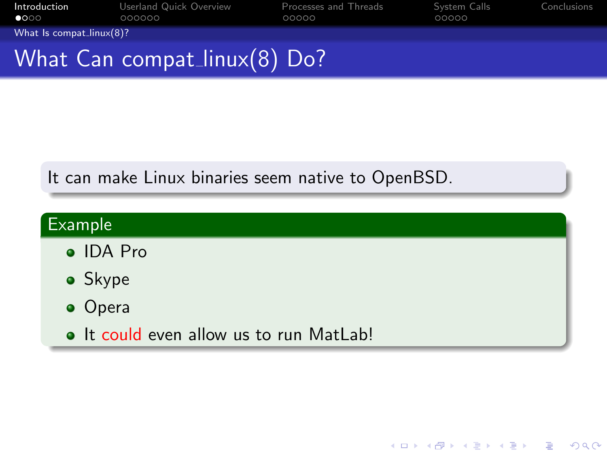| Introduction<br>$\bullet$ 000 | Userland Quick Overview<br>000000 | Processes and Threads<br>00000 | System Calls<br>00000 | Conclusions |
|-------------------------------|-----------------------------------|--------------------------------|-----------------------|-------------|
| What Is compat_linux(8)?      |                                   |                                |                       |             |
|                               | What Can compat_linux $(8)$ Do?   |                                |                       |             |
|                               |                                   |                                |                       |             |

## It can make Linux binaries seem native to OpenBSD.

<span id="page-2-0"></span>

| Example                                 |
|-----------------------------------------|
| $\bullet$ IDA Pro                       |
| • Skype                                 |
| • Opera                                 |
| • It could even allow us to run MatLab! |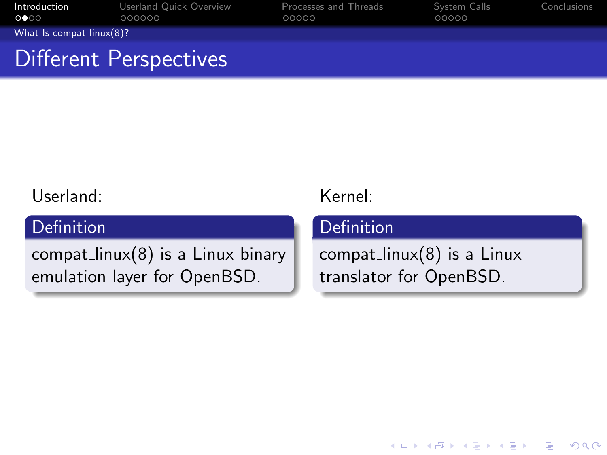| Introduction<br>$\circ \bullet \circ \circ$ | Userland Quick Overview<br>000000 | Processes and Threads<br>00000 | System Calls<br>00000 | Conclusions |
|---------------------------------------------|-----------------------------------|--------------------------------|-----------------------|-------------|
| What Is compat_linux $(8)$ ?                |                                   |                                |                       |             |
|                                             | Different Perspectives            |                                |                       |             |

### Userland:

## Definition

<span id="page-3-0"></span> $compat_{\text{linux}}(8)$  is a Linux binary emulation layer for OpenBSD.

## Kernel:

#### Definition

 $compat_{\text{linux}}(8)$  is a Linux translator for OpenBSD.

K ロ ▶ K @ ▶ K 할 > K 할 > 1 할 > 1 이익어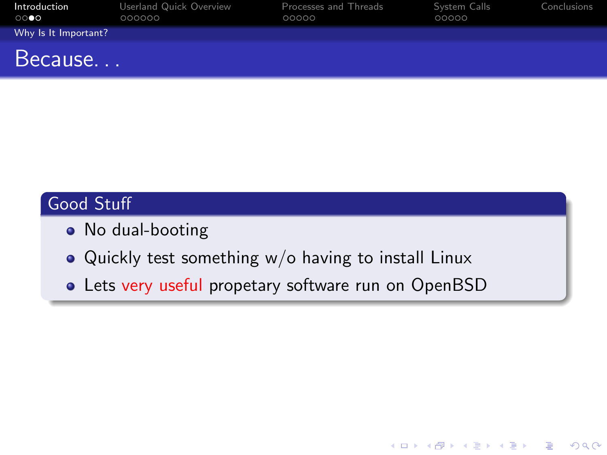| Introduction<br>$\circ\circ\bullet\circ$ | Userland Quick Overview<br>000000 | Processes and Threads<br>00000 | System Calls<br>00000 | Conclusions |
|------------------------------------------|-----------------------------------|--------------------------------|-----------------------|-------------|
| Why Is It Important?                     |                                   |                                |                       |             |
| Because                                  |                                   |                                |                       |             |

## Good Stuff

- No dual-booting
- Quickly test something w/o having to install Linux
- <span id="page-4-0"></span>• Lets very useful propetary software run on OpenBSD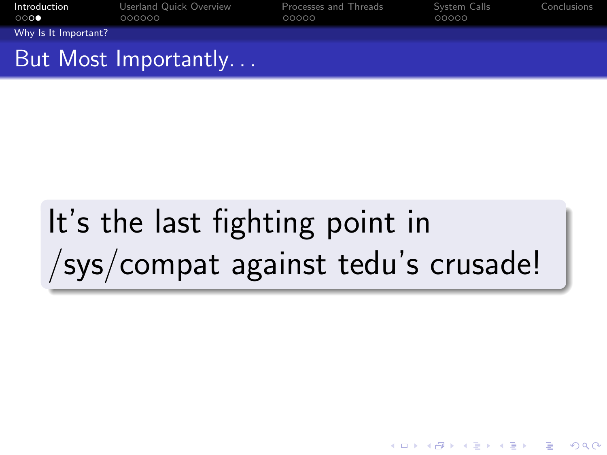| Introduction<br>$\circ\circ\bullet$ | Userland Quick Overview<br>000000 | Processes and Threads<br>00000 | System Calls<br>00000 | Conclusions |
|-------------------------------------|-----------------------------------|--------------------------------|-----------------------|-------------|
| Why Is It Important?                |                                   |                                |                       |             |
|                                     | But Most Importantly              |                                |                       |             |

# <span id="page-5-0"></span>It's the last fighting point in /sys/compat against tedu's crusade!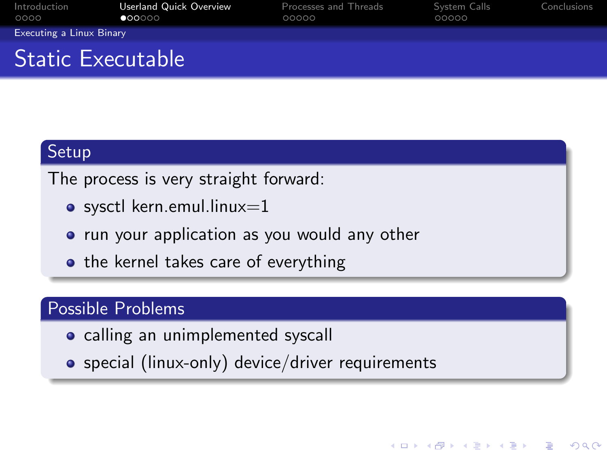| Introduction<br>0000            | Userland Quick Overview<br>$\bullet$ 00000 | Processes and Threads<br>00000 | System Calls<br>00000 | Conclusions |
|---------------------------------|--------------------------------------------|--------------------------------|-----------------------|-------------|
| <b>Executing a Linux Binary</b> |                                            |                                |                       |             |
| <b>Static Executable</b>        |                                            |                                |                       |             |

#### Setup

The process is very straight forward:

- $\bullet$  sysctl kern.emul.linux=1
- run your application as you would any other
- $\bullet$  the kernel takes care of everything

## Possible Problems

- calling an unimplemented syscall
- <span id="page-6-0"></span>special (linux-only) device/driver requirements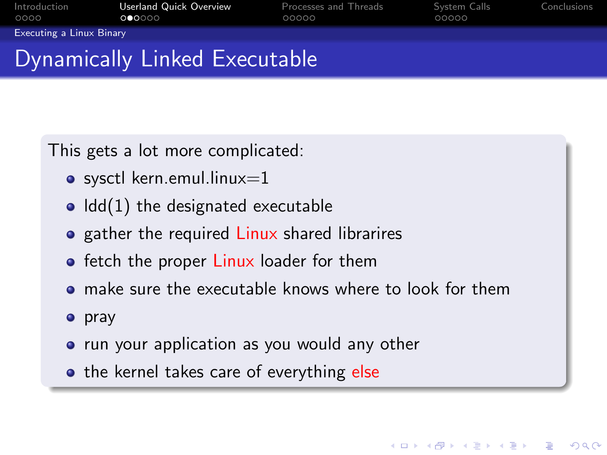| Introduction<br>0000            | Userland Quick Overview<br>000000 | Processes and Threads<br>00000 | System Calls<br>00000 | Conclusions |
|---------------------------------|-----------------------------------|--------------------------------|-----------------------|-------------|
| <b>Executing a Linux Binary</b> |                                   |                                |                       |             |
|                                 | Dynamically Linked Executable     |                                |                       |             |

This gets a lot more complicated:

- $\bullet$  sysctl kern.emul.linux=1
- $\bullet$  Idd(1) the designated executable
- gather the required Linux shared librarires
- **•** fetch the proper Linux loader for them
- make sure the executable knows where to look for them

**KORK STRAIN A BAR SHOP** 

- **o** pray
- run your application as you would any other
- <span id="page-7-0"></span>• the kernel takes care of everything else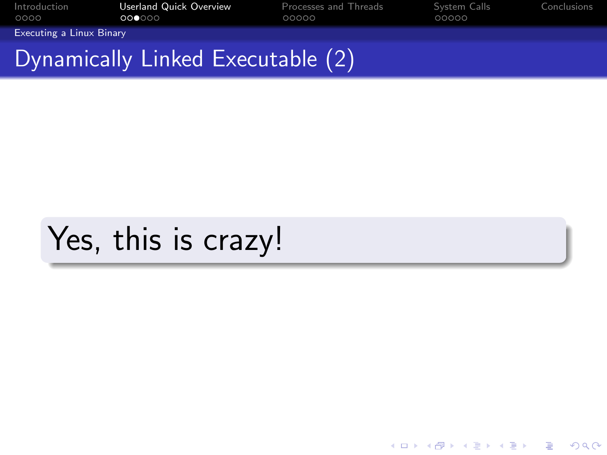| Introduction<br>0000     | Userland Quick Overview<br>000000 | Processes and Threads<br>00000 | System Calls<br>00000 | Conclusions |
|--------------------------|-----------------------------------|--------------------------------|-----------------------|-------------|
| Executing a Linux Binary |                                   |                                |                       |             |
|                          | Dynamically Linked Executable (2) |                                |                       |             |

K ロ ▶ K @ ▶ K 할 > K 할 > 1 할 > 1 ⊙ Q Q ^

# <span id="page-8-0"></span>Yes, this is crazy!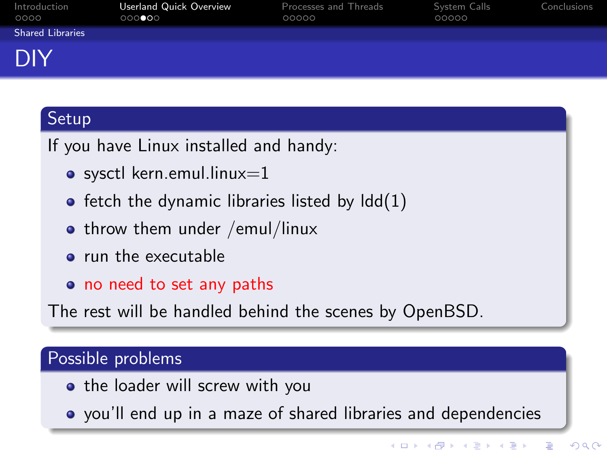| Introduction<br>0000    | Userland Quick Overview<br>000000 | Processes and Threads<br>00000 | System Calls<br>00000 | Conclusions |
|-------------------------|-----------------------------------|--------------------------------|-----------------------|-------------|
| <b>Shared Libraries</b> |                                   |                                |                       |             |
| DIY                     |                                   |                                |                       |             |

## Setup

If you have Linux installed and handy:

- $\bullet$  sysctl kern.emul.linux=1
- $\bullet$  fetch the dynamic libraries listed by  $\text{Idd}(1)$
- $\bullet$  throw them under /emul/linux
- **•** run the executable
- o no need to set any paths

The rest will be handled behind the scenes by OpenBSD.

### Possible problems

- the loader will screw with you
- <span id="page-9-0"></span>you'll end up in a maze of shared libraries and dependencies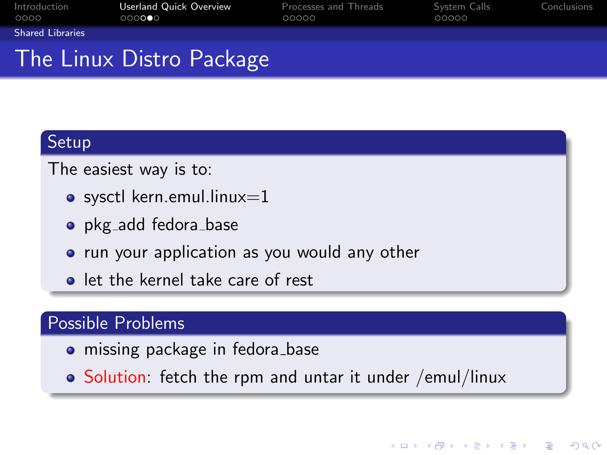| Introduction<br>0000    | Userland Quick Overview<br>000000 | Processes and Threads<br>00000 | System Calls<br>00000 | Conclusions |
|-------------------------|-----------------------------------|--------------------------------|-----------------------|-------------|
| <b>Shared Libraries</b> |                                   |                                |                       |             |
|                         | The Linux Distro Package          |                                |                       |             |

#### Setup

The easiest way is to:

- $\bullet$  sysctl kern.emul.linux=1
- pkg\_add fedora\_base
- run your application as you would any other
- **.** let the kernel take care of rest

### Possible Problems

- missing package in fedora base
- <span id="page-10-0"></span>• Solution: fetch the rpm and untar it under /emul/linux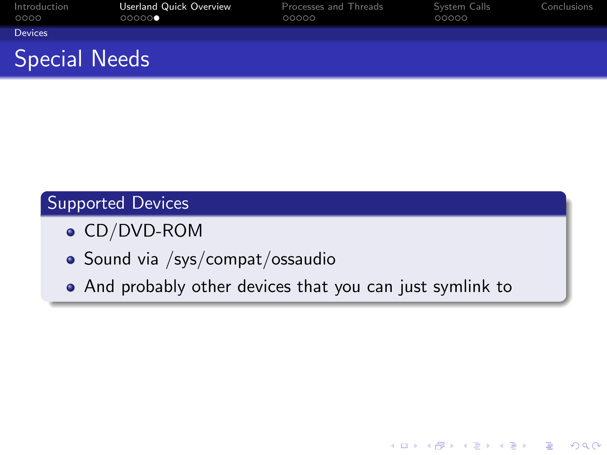| Introduction<br>0000 | Userland Quick Overview<br>00000 | Processes and Threads<br>00000 | System Calls<br>00000 | Conclusions |
|----------------------|----------------------------------|--------------------------------|-----------------------|-------------|
| <b>Devices</b>       |                                  |                                |                       |             |
| <b>Special Needs</b> |                                  |                                |                       |             |

## Supported Devices

- CD/DVD-ROM
- · Sound via /sys/compat/ossaudio
- <span id="page-11-0"></span>And probably other devices that you can just symlink to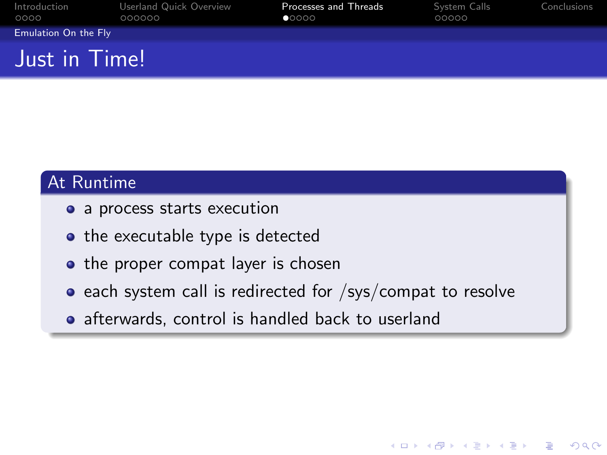| Introduction<br>0000 | Userland Quick Overview<br>000000 | Processes and Threads<br>$\bullet$ 0000 | System Calls<br>00000 | Conclusions |
|----------------------|-----------------------------------|-----------------------------------------|-----------------------|-------------|
| Emulation On the Fly |                                   |                                         |                       |             |
| Just in Time!        |                                   |                                         |                       |             |

## At Runtime

- a process starts execution
- the executable type is detected
- the proper compat layer is chosen
- $\bullet$  each system call is redirected for /sys/compat to resolve

**KORK STRAIN A BAR SHOP** 

<span id="page-12-0"></span>• afterwards, control is handled back to userland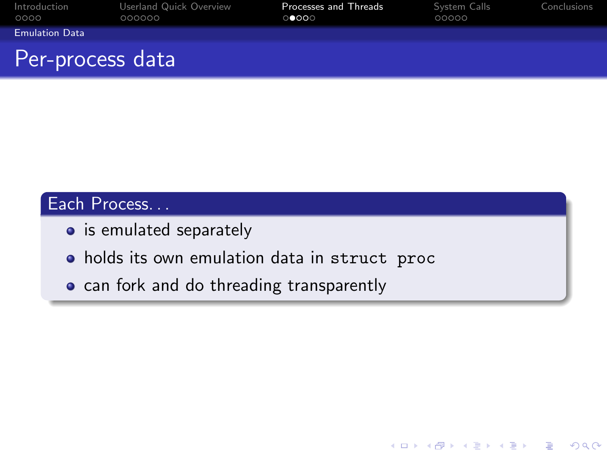| Introduction<br>0000  | Userland Quick Overview<br>000000 | Processes and Threads<br>00000 | System Calls<br>00000 | Conclusions |
|-----------------------|-----------------------------------|--------------------------------|-----------------------|-------------|
| <b>Emulation Data</b> |                                   |                                |                       |             |
| Per-process data      |                                   |                                |                       |             |

K ロ ▶ K @ ▶ K 할 ▶ K 할 ▶ 이 할 → 9 Q @

## Each Process...

- is emulated separately
- holds its own emulation data in struct proc
- <span id="page-13-0"></span>• can fork and do threading transparently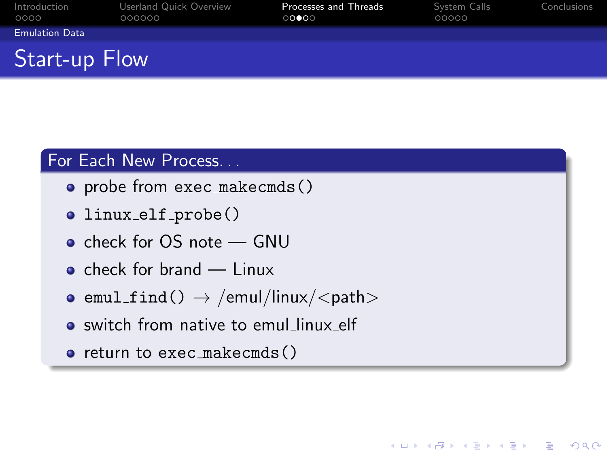| Introduction<br>0000  | Userland Quick Overview<br>000000 | Processes and Threads<br>$\circ\bullet\bullet\circ\circ$ | System Calls<br>00000 | Conclusions |
|-----------------------|-----------------------------------|----------------------------------------------------------|-----------------------|-------------|
| <b>Emulation Data</b> |                                   |                                                          |                       |             |
| <b>Start-up Flow</b>  |                                   |                                                          |                       |             |

#### For Each New Process. . .

- probe from exec\_makecmds()
- linux\_elf\_probe()
- check for OS note GNU
- $\bullet$  check for brand Linux
- emul\_find()  $\rightarrow$  /emul/linux/<path>
- switch from native to emul linux elf
- <span id="page-14-0"></span> $\bullet$  return to exec makecmds()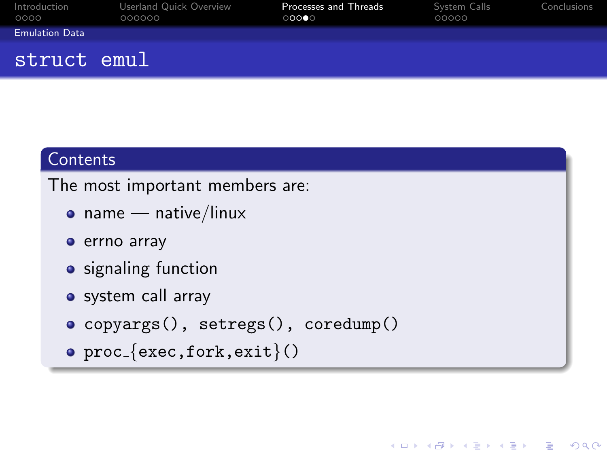| Introduction<br>0000  | Userland Quick Overview<br>000000 | Processes and Threads<br>00000 | System Calls<br>00000 | Conclusions |
|-----------------------|-----------------------------------|--------------------------------|-----------------------|-------------|
| <b>Emulation Data</b> |                                   |                                |                       |             |
| struct emul           |                                   |                                |                       |             |

## **Contents**

The most important members are:

- name native/linux
- errno array
- signaling function
- system call array
- copyargs(), setregs(), coredump()
- <span id="page-15-0"></span> $\circ$  proc {exec, fork, exit}()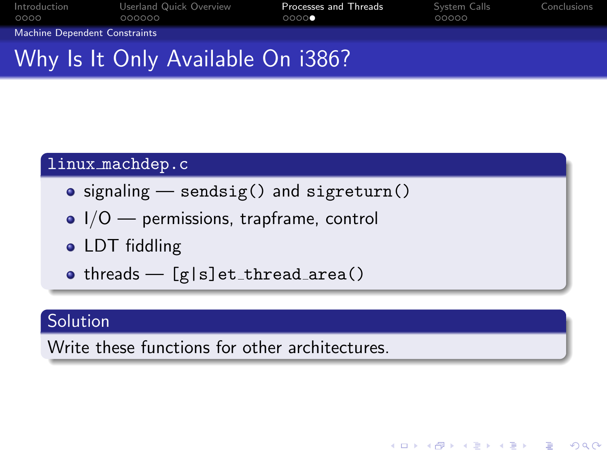| Introduction<br>0000              | Userland Quick Overview<br>000000 | Processes and Threads<br>00000 | System Calls<br>00000 | Conclusions |
|-----------------------------------|-----------------------------------|--------------------------------|-----------------------|-------------|
| Machine Dependent Constraints     |                                   |                                |                       |             |
| Why Is It Only Available On i386? |                                   |                                |                       |             |

#### linux machdep.c

- $\bullet$  signaling  $-$  sendsig() and sigreturn()
- $\bullet$   $I/O$  permissions, trapframe, control
- LDT fiddling
- $\bullet$  threads  $-$  [g|s]et\_thread\_area()

## Solution

<span id="page-16-0"></span>Write these functions for other architectures.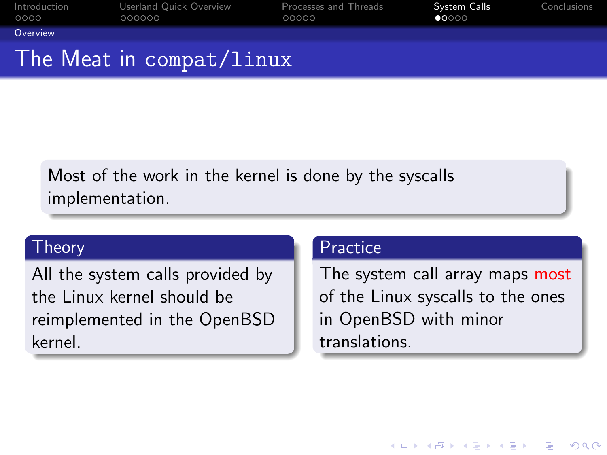| Introduction<br>0000 | Userland Quick Overview<br>000000          | Processes and Threads<br>00000 | System Calls<br>00000 | Conclusions |
|----------------------|--------------------------------------------|--------------------------------|-----------------------|-------------|
| Overview             |                                            |                                |                       |             |
|                      | The Meat in <code>compat/linux</code> $\,$ |                                |                       |             |

Most of the work in the kernel is done by the syscalls implementation.

#### Theory

<span id="page-17-0"></span>All the system calls provided by the Linux kernel should be reimplemented in the OpenBSD kernel.

#### **Practice**

The system call array maps most of the Linux syscalls to the ones in OpenBSD with minor translations.

**KORK ERKER ADE YOUR**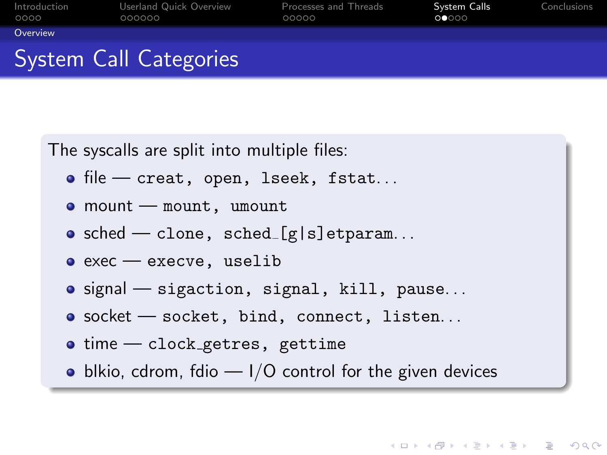| Introduction<br>0000 | Userland Quick Overview<br>000000 | Processes and Threads<br>00000 | System Calls<br>00000 | Conclusions |
|----------------------|-----------------------------------|--------------------------------|-----------------------|-------------|
| Overview             |                                   |                                |                       |             |
|                      | System Call Categories            |                                |                       |             |

The syscalls are split into multiple files:

- $\bullet$  file creat, open, lseek, fstat...
- mount mount, umount
- $\bullet$  sched clone, sched [g|s]etparam...
- $\bullet$  exec  $-$  execve, uselib
- signal sigaction, signal, kill, pause...
- o socket socket, bind, connect, listen...
- $\bullet$  time clock getres, gettime
- <span id="page-18-0"></span> $\bullet$  blkio, cdrom, fdio  $-1/O$  control for the given devices

**KORK ERKER ADE YOUR**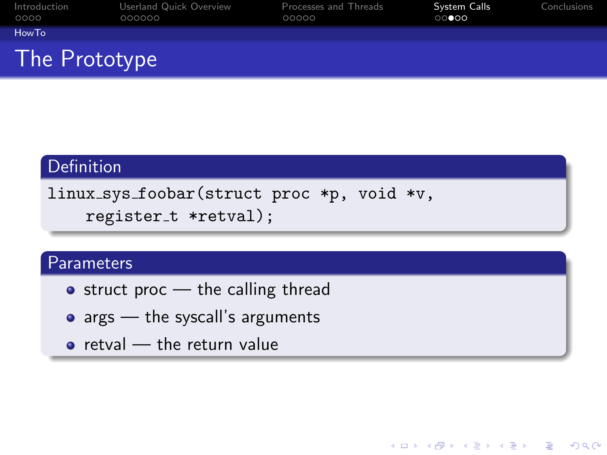| Introduction<br>0000 | Userland Quick Overview<br>000000 | Processes and Threads<br>00000 | System Calls<br>$\circ\circ\bullet\circ\circ$ | Conclusions |
|----------------------|-----------------------------------|--------------------------------|-----------------------------------------------|-------------|
| HowTo                |                                   |                                |                                               |             |
| The Prototype        |                                   |                                |                                               |             |

#### Definition

```
linux sys foobar(struct proc *p, void *v,
register_t *retval);
```
#### **Parameters**

- $\bullet$  struct proc the calling thread
- $\bullet$  args  $-$  the syscall's arguments
- <span id="page-19-0"></span> $\bullet$  retval  $-$  the return value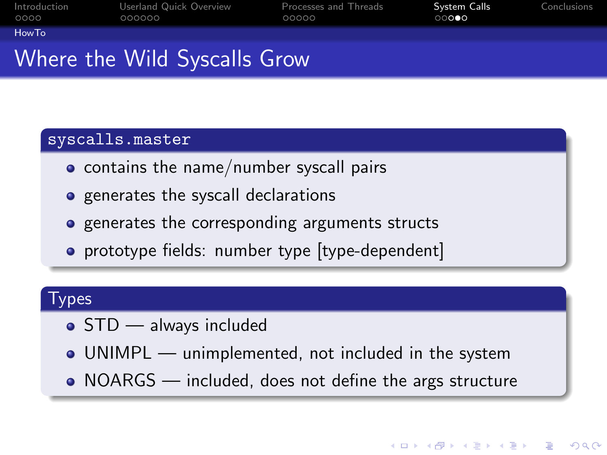| Introduction | Userland Quick Overview | Processes and Threads | System Calls             | Conclusions |
|--------------|-------------------------|-----------------------|--------------------------|-------------|
| 0000         | 000000                  | 00000                 | $\circ\circ\bullet\circ$ |             |
| HowTo        |                         |                       |                          |             |

## Where the Wild Syscalls Grow

#### syscalls.master

- **•** contains the name/number syscall pairs
- generates the syscall declarations
- **•** generates the corresponding arguments structs
- prototype fields: number type [type-dependent]

## Types

- STD always included
- UNIMPL unimplemented, not included in the system
- <span id="page-20-0"></span>• NOARGS — included, does not define the args structure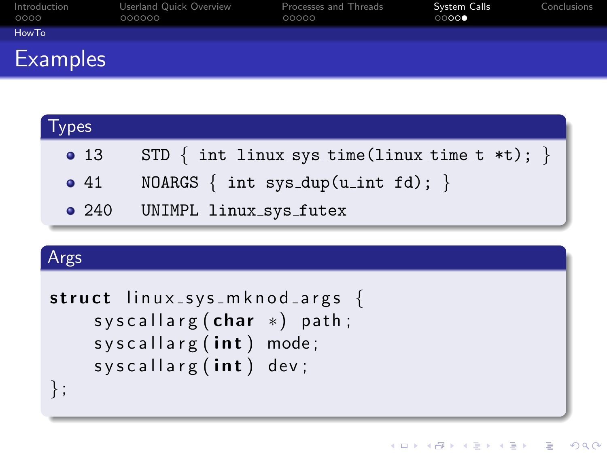| Introduction<br>0000 | Userland Quick Overview<br>000000 | Processes and Threads<br>00000 | System Calls<br>$\circ\circ\circ\bullet$ | Conclusions |
|----------------------|-----------------------------------|--------------------------------|------------------------------------------|-------------|
| HowTo                |                                   |                                |                                          |             |
| <b>Examples</b>      |                                   |                                |                                          |             |

| <b>Types</b>  |                                                    |
|---------------|----------------------------------------------------|
| $\bullet$ 13  | STD $\{$ int linux_sys_time(linux_time_t *t); $\}$ |
| $\bullet$ 41  | NOARGS $\{$ int sys_dup(u_int fd); $\}$            |
| $\bullet$ 240 | UNIMPL linux_sys_futex                             |

K ロ ▶ K @ ▶ K 할 ▶ K 할 ▶ 이 할 → 9 Q @

## Args

```
struct \lim_{x\to y} s mknod args {
syscallarg (char *) path;
syscallarg (int) mode;
syscallarg(int) dev;} ;
```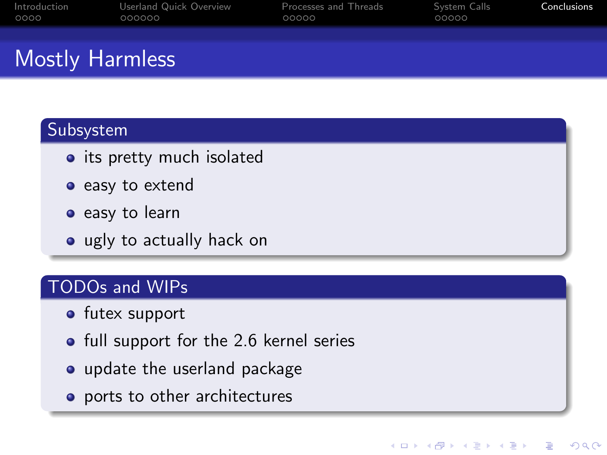| Introduction           | Userland Quick Overview | Processes and Threads | System Calls | Conclusions |
|------------------------|-------------------------|-----------------------|--------------|-------------|
| 0000                   | 000000                  | 00000                 | 00000        |             |
| <b>Mostly Harmless</b> |                         |                       |              |             |

**KOD KAR KED KED E YORA** 

### Subsystem

- its pretty much isolated
- easy to extend
- easy to learn
- ugly to actually hack on

## TODOs and WIPs

- **o** futex support
- full support for the 2.6 kernel series
- update the userland package
- <span id="page-22-0"></span>• ports to other architectures